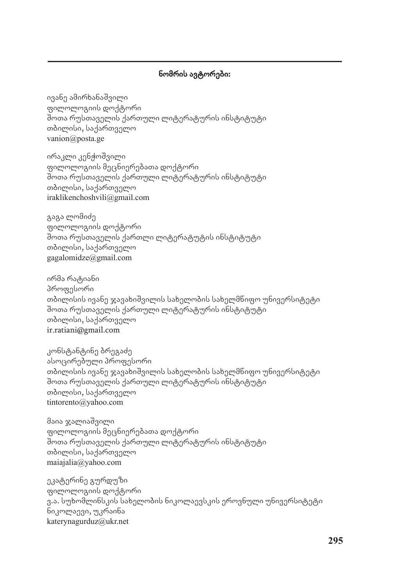## ნომრის ავტორები:

ივანე ამირხანაშვილი ფილოლოგიის დოქტორი შოთა რუსთაველის ქართული ლიტერატურის ინსტიტუტი თბილისი, საქართველო vanion@posta.ge

ირაკლი კენჭოშვილი ფილოლოგიის მეცნიერებათა დოქტორი შოთა რუსთაველის ქართული ლიტერატურის ინსტიტუტი თბილისი, საქართველო iraklikenchoshvili@gmail.com

გაგა ლომიძე ფილოლოგიის დოქტორი შოთა რუსთაველის ქართლი ლიტერატუტის ინსტიტუტი თბილისი, საქართველო gagalomidze@gmail.com

ირმა რატიანი პროფესორი თბილისის ივანე ჯავახიშვილის სახელობის სახელმწიფო უნივერსიტეტი შოთა რუსთაველის ქართული ლიტერატურის ინსტიტუტი თბილისი, საქართველო ir.ratiani@gmail.com

კონსტანტინე ბრეგაძე ასოცირებული პროფესორი თბილისის ივანე ჯავახიშვილის სახელობის სახელმწიფო უნივერსიტეტი შოთა რუსთაველის ქართული ლიტერატურის ინსტიტუტი თბილისი, საქართველო tintorento@yahoo.com

მაია ჯალიაშვილი ფილოლოგიის მეცნიერებათა დოქტორი შოთა რუსთაველის ქართული ლიტერატურის ინსტიტუტი თბილისი, საქართველო maiajalia@yahoo.com

ეკატერინე გურდუზი ფილოლოგიის დოქტორი ვ.ა. სუხომლინსკის სახელობის ნიკოლაევსკის ეროვნული უნივერსიტეტი ნიკოლაევი, უკრაინა katerynagurduz@ukr.net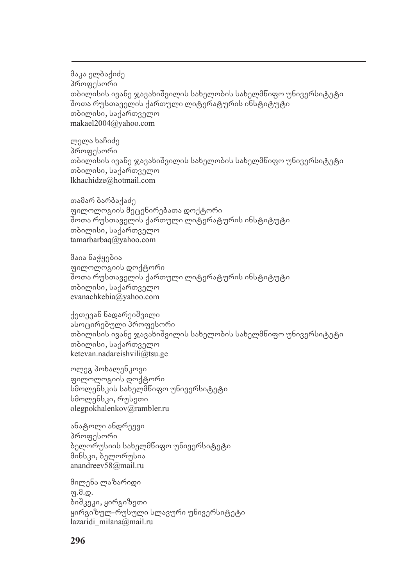მაკა ელბაქიძე პროფესორი თბილისის ივანე ჯავახიშვილის სახელობის სახელმწიფო უნივერსიტეტი შოთა რუსთაველის ქართული ლიტერატურის ინსტიტუტი თბილისი, საქართველო makael2004@yahoo.com

ლელა ხაჩიძე პროფესორი თბილისის ივანე ჯავახიშვილის სახელობის სახელმწიფო უნივერსიტეტი თბილისი, საქართველო lkhachidze@hotmail.com

თამარ ბარბაქაძე ფილოლოგიის მეცენირებათა დოქტორი შოთა რუსთაველის ქართული ლიტერატურის ინსტიტუტი თბილისი, საქართველო tamarbarbaq@yahoo.com

მაია ნაჭყებია ფილოლოგიის დოქტორი შოთა რუსთაველის ქართული ლიტერატურის ინსტიტუტი თბილისი, საქართველო evanachkebia@yahoo.com

ქეთევან ნადარეიშვილი ასოცირებული პროფესორი თბილისის ივანე ჯავახიშვილის სახელობის სახელმწიფო უნივერსიტეტი თბილისი, საქართველო ketevan.nadareishvili@tsu.ge

ოლეგ პოხალენკოვი ფილოლოგიის დოქტორი სმოლენსკის სახელმწიფო უნივერსიტეტი სმოლენსკი, რუსეთი olegpokhalenkov@rambler.ru

ანატოლი ანდრეევი პროფესორი ბელორუსიის სახელმწიფო უნივერსიტეტი მინსკი, ბელორუსია anandreev58@mail.ru

მილენა ლაზარიდი  $\varphi$ .d. $\varphi$ . ბიშკეკი, ყირგიზეთი ყირგიზულ-რუსული სლავური უნივერსიტეტი lazaridi milana@mail.ru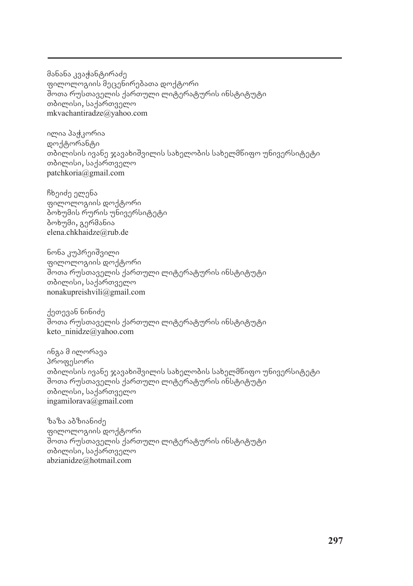მანანა კვაჭანტირაძე ფილოლოგიის მეცენირებათა დოქტორი შოთა რუსთაველის ქართული ლიტერატურის ინსტიტუტი თბილისი, საქართველო mkvachantiradze@yahoo.com

ილია პა<u>ჭკ</u>ორია დოქტორანტი თბილისის ივანე ჯავახიშვილის სახელობის სახელმწიფო უნივერსიტეტი თბილისი, საქართველო patchkoria@gmail.com

ჩხეიძე ელენა ფილოლოგიის დოქტორი ბოხუმის რურის უნივერსიტეტი ბოხუმი, გერმანია elena.chkhaidze@rub.de

ნონა კუპრეიშვილი ფილოლოგიის დოქტორი შოთა რუსთაველის ქართული ლიტერატურის ინსტიტუტი თბილისი, საქართველო nonakupreishvili@gmail.com

ქეთევან ნინიძე შოთა რუსთაველის ქართული ლიტერატურის ინსტიტუტი keto\_ninidze@yahoo.com

ინგა მ ილორავა პროფესორი თბილისის ივანე ჯავახიშვილის სახელობის სახელმწიფო უნივერსიტეტი შოთა რუსთაველის ქართული ლიტერატურის ინსტიტუტი თბილისი, საქართველო ingamilorava@gmail.com

ზაზა აბზიანიძე ფილოლოგიის დოქტორი შოთა რუსთაველის ქართული ლიტერატურის ინსტიტუტი თბილისი, საქართველო abzianidze@hotmail.com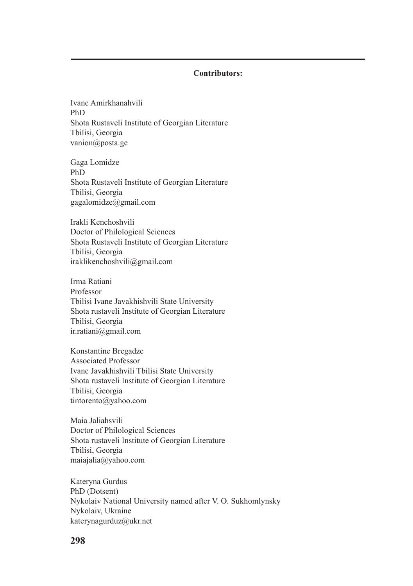## **Contributors:**

Ivane Amirkhanahvili PhD Shota Rustaveli Institute of Georgian Literature Tbilisi, Georgia vanion@posta.ge

Gaga Lomidze PhD Shota Rustaveli Institute of Georgian Literature Tbilisi, Georgia gagalomidze@gmail.com

Irakli Kenchoshvili Doctor of Philological Sciences Shota Rustaveli Institute of Georgian Literature Tbilisi, Georgia iraklikenchoshvili@gmail.com

Irma Ratiani Professor Tbilisi Ivane Javakhishvili State University Shota rustaveli Institute of Georgian Literature Tbilisi, Georgia ir.ratiani@gmail.com

Konstantine Bregadze Associated Professor Ivane Javakhishvili Tbilisi State University Shota rustaveli Institute of Georgian Literature Tbilisi, Georgia tintorento@yahoo.com

Maia Jaliahsvili Doctor of Philological Sciences Shota rustaveli Institute of Georgian Literature Tbilisi, Georgia maiajalia@yahoo.com

Kateryna Gurdus PhD (Dotsent) Nykolaiv National University named after V. O. Sukhomlynsky Nykolaiv, Ukraine katerynagurduz@ukr.net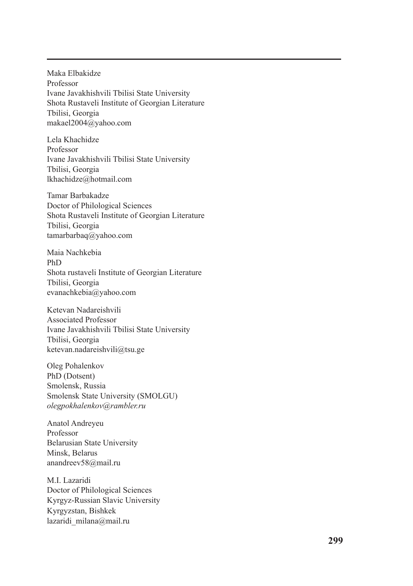Maka Elbakidze Professor Ivane Javakhishvili Tbilisi State University Shota Rustaveli Institute of Georgian Literature Tbilisi, Georgia makael2004@yahoo.com

Lela Khachidze Professor Ivane Javakhishvili Tbilisi State University Tbilisi, Georgia lkhachidze@hotmail.com

Tamar Barbakadze Doctor of Philological Sciences Shota Rustaveli Institute of Georgian Literature Tbilisi, Georgia tamarbarbaq@yahoo.com

Maia Nachkebia PhD Shota rustaveli Institute of Georgian Literature Tbilisi, Georgia evanachkebia@yahoo.com

Ketevan Nadareishvili Associated Professor Ivane Javakhishvili Tbilisi State University Tbilisi, Georgia ketevan.nadareishvili@tsu.ge

Oleg Pohalenkov PhD (Dotsent) Smolensk, Russia Smolensk State University (SMOLGU) *olegpokhalenkov@rambler.ru*

Anatol Andreyeu Professor Belarusian State University Minsk, Belarus anandreev58@mail.ru

M.I. Lazaridi Doctor of Philological Sciences Kyrgyz-Russian Slavic University Kyrgyzstan, Bishkek lazaridi\_milana@mail.ru